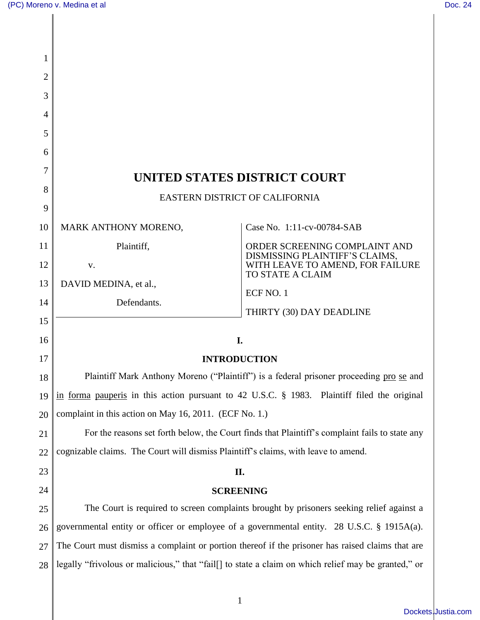$\overline{\phantom{a}}$ 

 $\overline{\phantom{a}}$ 

| 1              |                                                                                                     |                                                                                            |  |
|----------------|-----------------------------------------------------------------------------------------------------|--------------------------------------------------------------------------------------------|--|
| $\overline{2}$ |                                                                                                     |                                                                                            |  |
| 3              |                                                                                                     |                                                                                            |  |
| 4              |                                                                                                     |                                                                                            |  |
| 5              |                                                                                                     |                                                                                            |  |
| 6              |                                                                                                     |                                                                                            |  |
| 7              | UNITED STATES DISTRICT COURT                                                                        |                                                                                            |  |
| 8              | <b>EASTERN DISTRICT OF CALIFORNIA</b>                                                               |                                                                                            |  |
| 9              |                                                                                                     |                                                                                            |  |
| 10             | MARK ANTHONY MORENO,                                                                                | Case No. 1:11-cv-00784-SAB                                                                 |  |
| 11             | Plaintiff,                                                                                          | ORDER SCREENING COMPLAINT AND                                                              |  |
| 12             | V.                                                                                                  | DISMISSING PLAINTIFF'S CLAIMS, WITH LEAVE TO AMEND, FOR FAILURE<br><b>TO STATE A CLAIM</b> |  |
| 13             | DAVID MEDINA, et al.,                                                                               | ECF NO. 1                                                                                  |  |
| 14             | Defendants.                                                                                         | THIRTY (30) DAY DEADLINE                                                                   |  |
| 15             |                                                                                                     |                                                                                            |  |
| 16             | I.                                                                                                  |                                                                                            |  |
| 17             | <b>INTRODUCTION</b>                                                                                 |                                                                                            |  |
| 18             | Plaintiff Mark Anthony Moreno ("Plaintiff") is a federal prisoner proceeding pro se and             |                                                                                            |  |
| 19             | in forma pauperis in this action pursuant to 42 U.S.C. § 1983. Plaintiff filed the original         |                                                                                            |  |
| 20             | complaint in this action on May 16, 2011. (ECF No. 1.)                                              |                                                                                            |  |
| 21             | For the reasons set forth below, the Court finds that Plaintiff's complaint fails to state any      |                                                                                            |  |
| 22             | cognizable claims. The Court will dismiss Plaintiff's claims, with leave to amend.                  |                                                                                            |  |
| 23             | П.                                                                                                  |                                                                                            |  |
| 24             | <b>SCREENING</b>                                                                                    |                                                                                            |  |
| 25             | The Court is required to screen complaints brought by prisoners seeking relief against a            |                                                                                            |  |
| 26             | governmental entity or officer or employee of a governmental entity. 28 U.S.C. § 1915A(a).          |                                                                                            |  |
| 27             | The Court must dismiss a complaint or portion thereof if the prisoner has raised claims that are    |                                                                                            |  |
| 28             | legally "frivolous or malicious," that "fail[] to state a claim on which relief may be granted," or |                                                                                            |  |
|                |                                                                                                     |                                                                                            |  |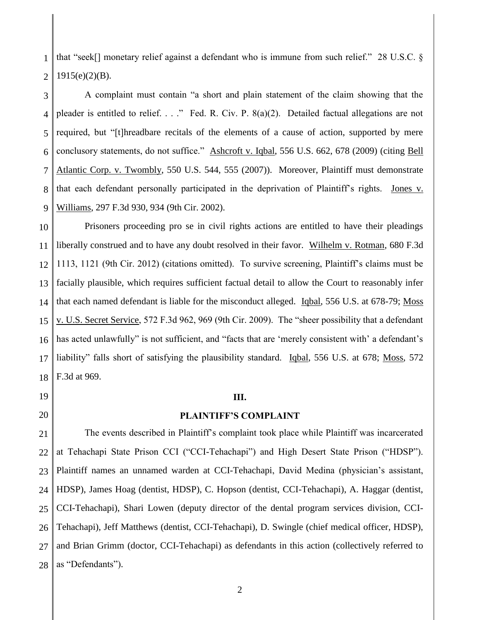1 2 that "seek[] monetary relief against a defendant who is immune from such relief." 28 U.S.C. § 1915(e)(2)(B).

3 4 5 6 7 8 9 A complaint must contain "a short and plain statement of the claim showing that the pleader is entitled to relief. . . ." Fed. R. Civ. P. 8(a)(2). Detailed factual allegations are not required, but "[t]hreadbare recitals of the elements of a cause of action, supported by mere conclusory statements, do not suffice." Ashcroft v. Iqbal, 556 U.S. 662, 678 (2009) (citing Bell Atlantic Corp. v. Twombly, 550 U.S. 544, 555 (2007)). Moreover, Plaintiff must demonstrate that each defendant personally participated in the deprivation of Plaintiff's rights. Jones v. Williams, 297 F.3d 930, 934 (9th Cir. 2002).

10 11 12 13 14 15 16 17 18 Prisoners proceeding pro se in civil rights actions are entitled to have their pleadings liberally construed and to have any doubt resolved in their favor. Wilhelm v. Rotman, 680 F.3d 1113, 1121 (9th Cir. 2012) (citations omitted). To survive screening, Plaintiff's claims must be facially plausible, which requires sufficient factual detail to allow the Court to reasonably infer that each named defendant is liable for the misconduct alleged. Iqbal, 556 U.S. at 678-79; Moss v. U.S. Secret Service, 572 F.3d 962, 969 (9th Cir. 2009). The "sheer possibility that a defendant has acted unlawfully" is not sufficient, and "facts that are 'merely consistent with' a defendant's liability" falls short of satisfying the plausibility standard. Iqbal, 556 U.S. at 678; Moss, 572 F.3d at 969.

**III.**

19

20

#### **PLAINTIFF'S COMPLAINT**

21 22 23 24 25 26 27 28 The events described in Plaintiff's complaint took place while Plaintiff was incarcerated at Tehachapi State Prison CCI ("CCI-Tehachapi") and High Desert State Prison ("HDSP"). Plaintiff names an unnamed warden at CCI-Tehachapi, David Medina (physician's assistant, HDSP), James Hoag (dentist, HDSP), C. Hopson (dentist, CCI-Tehachapi), A. Haggar (dentist, CCI-Tehachapi), Shari Lowen (deputy director of the dental program services division, CCI-Tehachapi), Jeff Matthews (dentist, CCI-Tehachapi), D. Swingle (chief medical officer, HDSP), and Brian Grimm (doctor, CCI-Tehachapi) as defendants in this action (collectively referred to as "Defendants").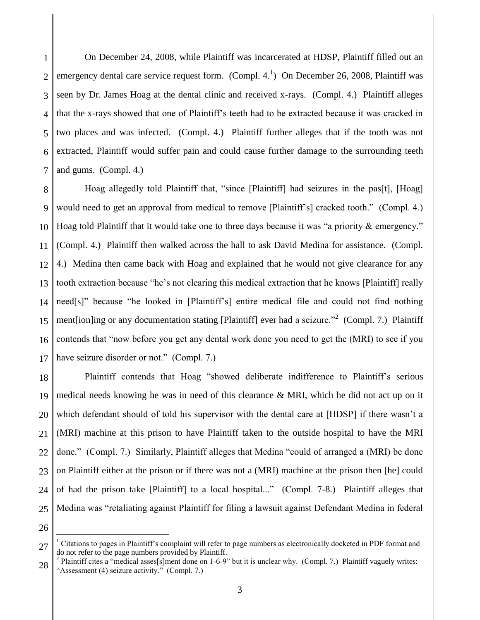1  $\mathcal{D}_{\mathcal{L}}$ 3 4 5 6 7 On December 24, 2008, while Plaintiff was incarcerated at HDSP, Plaintiff filled out an emergency dental care service request form. (Compl. 4.<sup>1</sup>) On December 26, 2008, Plaintiff was seen by Dr. James Hoag at the dental clinic and received x-rays. (Compl. 4.) Plaintiff alleges that the x-rays showed that one of Plaintiff's teeth had to be extracted because it was cracked in two places and was infected. (Compl. 4.) Plaintiff further alleges that if the tooth was not extracted, Plaintiff would suffer pain and could cause further damage to the surrounding teeth and gums. (Compl. 4.)

8 9 10 11 12 13 14 15 16 17 Hoag allegedly told Plaintiff that, "since [Plaintiff] had seizures in the pas[t], [Hoag] would need to get an approval from medical to remove [Plaintiff's] cracked tooth." (Compl. 4.) Hoag told Plaintiff that it would take one to three days because it was "a priority & emergency." (Compl. 4.) Plaintiff then walked across the hall to ask David Medina for assistance. (Compl. 4.) Medina then came back with Hoag and explained that he would not give clearance for any tooth extraction because "he's not clearing this medical extraction that he knows [Plaintiff] really need[s]" because "he looked in [Plaintiff's] entire medical file and could not find nothing ment[ion]ing or any documentation stating [Plaintiff] ever had a seizure."<sup>2</sup> (Compl. 7.) Plaintiff contends that "now before you get any dental work done you need to get the (MRI) to see if you have seizure disorder or not." (Compl. 7.)

18 19 20 21 22 23 24 25 Plaintiff contends that Hoag "showed deliberate indifference to Plaintiff's serious medical needs knowing he was in need of this clearance & MRI, which he did not act up on it which defendant should of told his supervisor with the dental care at [HDSP] if there wasn't a (MRI) machine at this prison to have Plaintiff taken to the outside hospital to have the MRI done." (Compl. 7.) Similarly, Plaintiff alleges that Medina "could of arranged a (MRI) be done on Plaintiff either at the prison or if there was not a (MRI) machine at the prison then [he] could of had the prison take [Plaintiff] to a local hospital..." (Compl. 7-8.) Plaintiff alleges that Medina was "retaliating against Plaintiff for filing a lawsuit against Defendant Medina in federal

26

 $\overline{a}$ 

27

 $<sup>1</sup>$  Citations to pages in Plaintiff's complaint will refer to page numbers as electronically docketed in PDF format and</sup> do not refer to the page numbers provided by Plaintiff.

<sup>28</sup> <sup>2</sup> Plaintiff cites a "medical asses[s]ment done on 1-6-9" but it is unclear why. (Compl. 7.) Plaintiff vaguely writes: "Assessment (4) seizure activity." (Compl. 7.)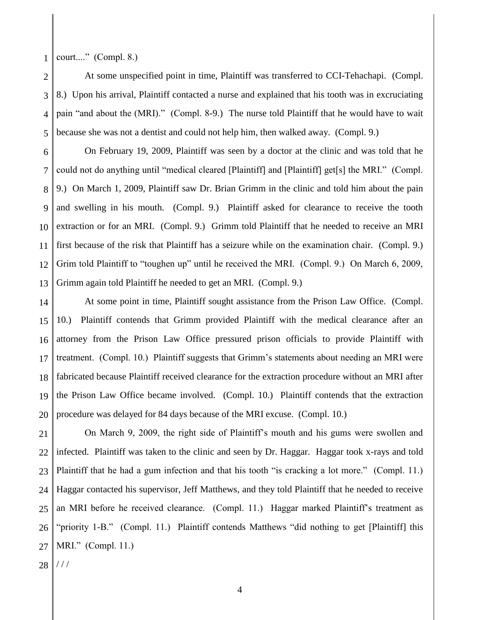1 court...." (Compl. 8.)

2 3 4 5 At some unspecified point in time, Plaintiff was transferred to CCI-Tehachapi. (Compl. 8.) Upon his arrival, Plaintiff contacted a nurse and explained that his tooth was in excruciating pain "and about the (MRI)." (Compl. 8-9.) The nurse told Plaintiff that he would have to wait because she was not a dentist and could not help him, then walked away. (Compl. 9.)

6 7 8 9 10 11 12 13 On February 19, 2009, Plaintiff was seen by a doctor at the clinic and was told that he could not do anything until "medical cleared [Plaintiff] and [Plaintiff] get[s] the MRI." (Compl. 9.) On March 1, 2009, Plaintiff saw Dr. Brian Grimm in the clinic and told him about the pain and swelling in his mouth. (Compl. 9.) Plaintiff asked for clearance to receive the tooth extraction or for an MRI. (Compl. 9.) Grimm told Plaintiff that he needed to receive an MRI first because of the risk that Plaintiff has a seizure while on the examination chair. (Compl. 9.) Grim told Plaintiff to "toughen up" until he received the MRI. (Compl. 9.) On March 6, 2009, Grimm again told Plaintiff he needed to get an MRI. (Compl. 9.)

14 15 16 17 18 19 20 At some point in time, Plaintiff sought assistance from the Prison Law Office. (Compl. 10.) Plaintiff contends that Grimm provided Plaintiff with the medical clearance after an attorney from the Prison Law Office pressured prison officials to provide Plaintiff with treatment. (Compl. 10.) Plaintiff suggests that Grimm's statements about needing an MRI were fabricated because Plaintiff received clearance for the extraction procedure without an MRI after the Prison Law Office became involved. (Compl. 10.) Plaintiff contends that the extraction procedure was delayed for 84 days because of the MRI excuse. (Compl. 10.)

21 22 23 24 25 26 27 On March 9, 2009, the right side of Plaintiff's mouth and his gums were swollen and infected. Plaintiff was taken to the clinic and seen by Dr. Haggar. Haggar took x-rays and told Plaintiff that he had a gum infection and that his tooth "is cracking a lot more." (Compl. 11.) Haggar contacted his supervisor, Jeff Matthews, and they told Plaintiff that he needed to receive an MRI before he received clearance. (Compl. 11.) Haggar marked Plaintiff's treatment as "priority 1-B." (Compl. 11.) Plaintiff contends Matthews "did nothing to get [Plaintiff] this MRI." (Compl. 11.)

28 / / /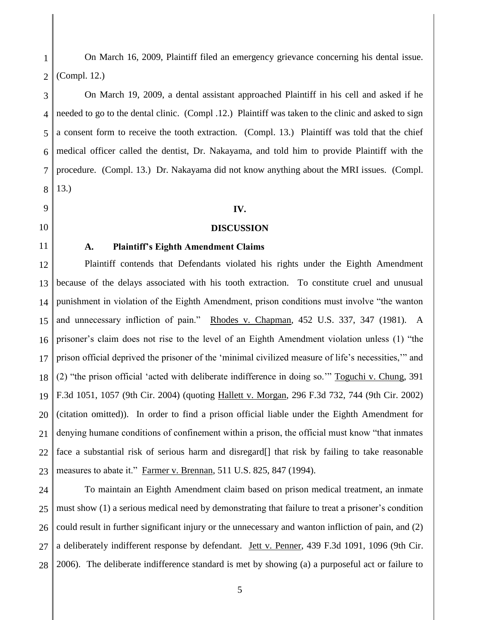1  $\mathcal{D}$ On March 16, 2009, Plaintiff filed an emergency grievance concerning his dental issue. (Compl. 12.)

3 4 5 6 7 8 On March 19, 2009, a dental assistant approached Plaintiff in his cell and asked if he needed to go to the dental clinic. (Compl .12.) Plaintiff was taken to the clinic and asked to sign a consent form to receive the tooth extraction. (Compl. 13.) Plaintiff was told that the chief medical officer called the dentist, Dr. Nakayama, and told him to provide Plaintiff with the procedure. (Compl. 13.) Dr. Nakayama did not know anything about the MRI issues. (Compl. 13.)

### **IV.**

### **DISCUSSION**

# 11

9

10

## **A. Plaintiff's Eighth Amendment Claims**

12 13 14 15 16 17 18 19 20 21 22 23 Plaintiff contends that Defendants violated his rights under the Eighth Amendment because of the delays associated with his tooth extraction. To constitute cruel and unusual punishment in violation of the Eighth Amendment, prison conditions must involve "the wanton and unnecessary infliction of pain." Rhodes v. Chapman, 452 U.S. 337, 347 (1981). A prisoner's claim does not rise to the level of an Eighth Amendment violation unless (1) "the prison official deprived the prisoner of the 'minimal civilized measure of life's necessities,'" and (2) "the prison official 'acted with deliberate indifference in doing so.'" Toguchi v. Chung, 391 F.3d 1051, 1057 (9th Cir. 2004) (quoting Hallett v. Morgan, 296 F.3d 732, 744 (9th Cir. 2002) (citation omitted)). In order to find a prison official liable under the Eighth Amendment for denying humane conditions of confinement within a prison, the official must know "that inmates face a substantial risk of serious harm and disregard<sup>[]</sup> that risk by failing to take reasonable measures to abate it." Farmer v. Brennan, 511 U.S. 825, 847 (1994).

24 25 26 27 28 To maintain an Eighth Amendment claim based on prison medical treatment, an inmate must show (1) a serious medical need by demonstrating that failure to treat a prisoner's condition could result in further significant injury or the unnecessary and wanton infliction of pain, and (2) a deliberately indifferent response by defendant. Jett v. Penner, 439 F.3d 1091, 1096 (9th Cir. 2006). The deliberate indifference standard is met by showing (a) a purposeful act or failure to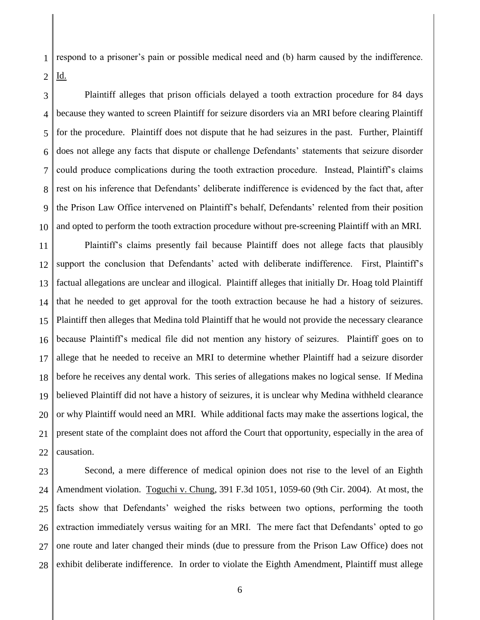1 2 respond to a prisoner's pain or possible medical need and (b) harm caused by the indifference. Id.

3 4 5 6 7 8 9 10 Plaintiff alleges that prison officials delayed a tooth extraction procedure for 84 days because they wanted to screen Plaintiff for seizure disorders via an MRI before clearing Plaintiff for the procedure. Plaintiff does not dispute that he had seizures in the past. Further, Plaintiff does not allege any facts that dispute or challenge Defendants' statements that seizure disorder could produce complications during the tooth extraction procedure. Instead, Plaintiff's claims rest on his inference that Defendants' deliberate indifference is evidenced by the fact that, after the Prison Law Office intervened on Plaintiff's behalf, Defendants' relented from their position and opted to perform the tooth extraction procedure without pre-screening Plaintiff with an MRI.

11 12 13 14 15 16 17 18 19 20 21 22 Plaintiff's claims presently fail because Plaintiff does not allege facts that plausibly support the conclusion that Defendants' acted with deliberate indifference. First, Plaintiff's factual allegations are unclear and illogical. Plaintiff alleges that initially Dr. Hoag told Plaintiff that he needed to get approval for the tooth extraction because he had a history of seizures. Plaintiff then alleges that Medina told Plaintiff that he would not provide the necessary clearance because Plaintiff's medical file did not mention any history of seizures. Plaintiff goes on to allege that he needed to receive an MRI to determine whether Plaintiff had a seizure disorder before he receives any dental work. This series of allegations makes no logical sense. If Medina believed Plaintiff did not have a history of seizures, it is unclear why Medina withheld clearance or why Plaintiff would need an MRI. While additional facts may make the assertions logical, the present state of the complaint does not afford the Court that opportunity, especially in the area of causation.

23 24 25 26 27 28 Second, a mere difference of medical opinion does not rise to the level of an Eighth Amendment violation. <u>Toguchi v. Chung</u>, 391 F.3d 1051, 1059-60 (9th Cir. 2004). At most, the facts show that Defendants' weighed the risks between two options, performing the tooth extraction immediately versus waiting for an MRI. The mere fact that Defendants' opted to go one route and later changed their minds (due to pressure from the Prison Law Office) does not exhibit deliberate indifference. In order to violate the Eighth Amendment, Plaintiff must allege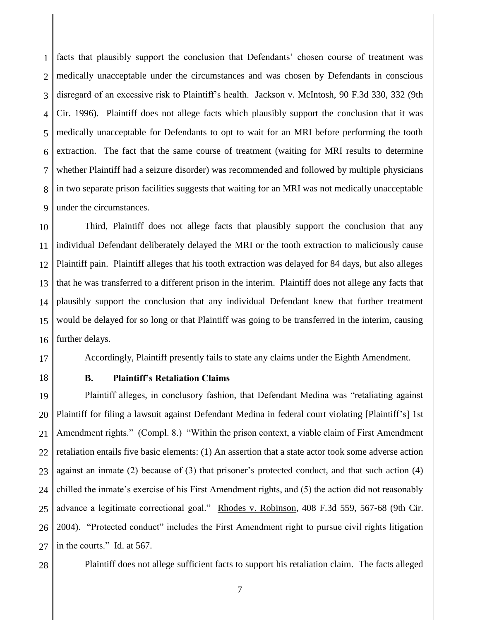1  $\mathcal{D}$ 3 4 5 6 7 8 9 facts that plausibly support the conclusion that Defendants' chosen course of treatment was medically unacceptable under the circumstances and was chosen by Defendants in conscious disregard of an excessive risk to Plaintiff's health. Jackson v. McIntosh, 90 F.3d 330, 332 (9th Cir. 1996). Plaintiff does not allege facts which plausibly support the conclusion that it was medically unacceptable for Defendants to opt to wait for an MRI before performing the tooth extraction. The fact that the same course of treatment (waiting for MRI results to determine whether Plaintiff had a seizure disorder) was recommended and followed by multiple physicians in two separate prison facilities suggests that waiting for an MRI was not medically unacceptable under the circumstances.

10 11 12 13 14 15 16 Third, Plaintiff does not allege facts that plausibly support the conclusion that any individual Defendant deliberately delayed the MRI or the tooth extraction to maliciously cause Plaintiff pain. Plaintiff alleges that his tooth extraction was delayed for 84 days, but also alleges that he was transferred to a different prison in the interim. Plaintiff does not allege any facts that plausibly support the conclusion that any individual Defendant knew that further treatment would be delayed for so long or that Plaintiff was going to be transferred in the interim, causing further delays.

17 Accordingly, Plaintiff presently fails to state any claims under the Eighth Amendment.

18

# **B. Plaintiff's Retaliation Claims**

19 20 21 22 23 24 25 26 27 Plaintiff alleges, in conclusory fashion, that Defendant Medina was "retaliating against Plaintiff for filing a lawsuit against Defendant Medina in federal court violating [Plaintiff's] 1st Amendment rights." (Compl. 8.) "Within the prison context, a viable claim of First Amendment retaliation entails five basic elements: (1) An assertion that a state actor took some adverse action against an inmate (2) because of (3) that prisoner's protected conduct, and that such action (4) chilled the inmate's exercise of his First Amendment rights, and (5) the action did not reasonably advance a legitimate correctional goal." Rhodes v. Robinson, 408 F.3d 559, 567-68 (9th Cir. 2004). "Protected conduct" includes the First Amendment right to pursue civil rights litigation in the courts."  $\underline{Id}$  at 567.

28

Plaintiff does not allege sufficient facts to support his retaliation claim. The facts alleged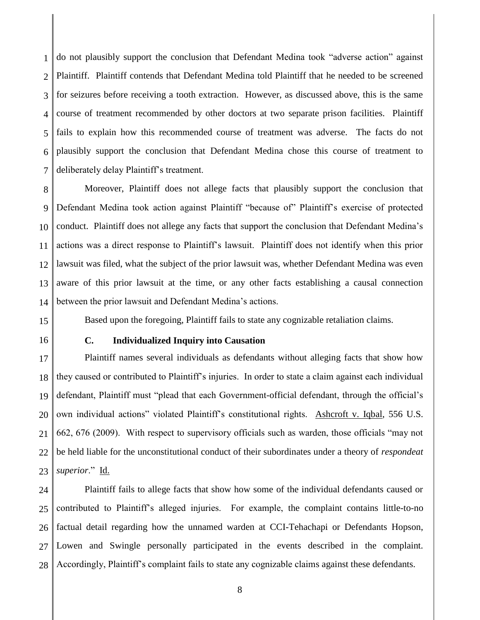1  $\mathcal{D}$ 3 4 5 6 7 do not plausibly support the conclusion that Defendant Medina took "adverse action" against Plaintiff. Plaintiff contends that Defendant Medina told Plaintiff that he needed to be screened for seizures before receiving a tooth extraction. However, as discussed above, this is the same course of treatment recommended by other doctors at two separate prison facilities. Plaintiff fails to explain how this recommended course of treatment was adverse. The facts do not plausibly support the conclusion that Defendant Medina chose this course of treatment to deliberately delay Plaintiff's treatment.

8 9 10 11 12 13 14 Moreover, Plaintiff does not allege facts that plausibly support the conclusion that Defendant Medina took action against Plaintiff "because of" Plaintiff's exercise of protected conduct. Plaintiff does not allege any facts that support the conclusion that Defendant Medina's actions was a direct response to Plaintiff's lawsuit. Plaintiff does not identify when this prior lawsuit was filed, what the subject of the prior lawsuit was, whether Defendant Medina was even aware of this prior lawsuit at the time, or any other facts establishing a causal connection between the prior lawsuit and Defendant Medina's actions.

Based upon the foregoing, Plaintiff fails to state any cognizable retaliation claims.

15

16

## **C. Individualized Inquiry into Causation**

17 18 19 20 21 22 23 Plaintiff names several individuals as defendants without alleging facts that show how they caused or contributed to Plaintiff's injuries. In order to state a claim against each individual defendant, Plaintiff must "plead that each Government-official defendant, through the official's own individual actions" violated Plaintiff's constitutional rights. Ashcroft v. Iqbal, 556 U.S. 662, 676 (2009). With respect to supervisory officials such as warden, those officials "may not be held liable for the unconstitutional conduct of their subordinates under a theory of *respondeat superior*." Id.

24 25 26 27 28 Plaintiff fails to allege facts that show how some of the individual defendants caused or contributed to Plaintiff's alleged injuries. For example, the complaint contains little-to-no factual detail regarding how the unnamed warden at CCI-Tehachapi or Defendants Hopson, Lowen and Swingle personally participated in the events described in the complaint. Accordingly, Plaintiff's complaint fails to state any cognizable claims against these defendants.

8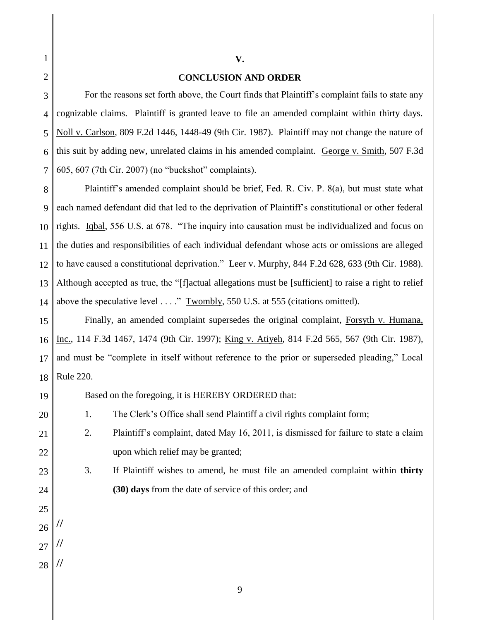### **CONCLUSION AND ORDER**

**V.**

5 6 7 For the reasons set forth above, the Court finds that Plaintiff's complaint fails to state any cognizable claims. Plaintiff is granted leave to file an amended complaint within thirty days. Noll v. Carlson, 809 F.2d 1446, 1448-49 (9th Cir. 1987). Plaintiff may not change the nature of this suit by adding new, unrelated claims in his amended complaint. George v. Smith, 507 F.3d 605, 607 (7th Cir. 2007) (no "buckshot" complaints).

8 9 10 11 12 13 14 Plaintiff's amended complaint should be brief, Fed. R. Civ. P. 8(a), but must state what each named defendant did that led to the deprivation of Plaintiff's constitutional or other federal rights. Iqbal, 556 U.S. at 678. "The inquiry into causation must be individualized and focus on the duties and responsibilities of each individual defendant whose acts or omissions are alleged to have caused a constitutional deprivation." Leer v. Murphy, 844 F.2d 628, 633 (9th Cir. 1988). Although accepted as true, the "[f]actual allegations must be [sufficient] to raise a right to relief above the speculative level . . . ." Twombly, 550 U.S. at 555 (citations omitted).

15 16 17 18 Finally, an amended complaint supersedes the original complaint, Forsyth v. Humana, Inc., 114 F.3d 1467, 1474 (9th Cir. 1997); King v. Atiyeh, 814 F.2d 565, 567 (9th Cir. 1987), and must be "complete in itself without reference to the prior or superseded pleading," Local Rule 220.

Based on the foregoing, it is HEREBY ORDERED that:

1. The Clerk's Office shall send Plaintiff a civil rights complaint form;

- 2. Plaintiff's complaint, dated May 16, 2011, is dismissed for failure to state a claim upon which relief may be granted;
	- 3. If Plaintiff wishes to amend, he must file an amended complaint within **thirty (30) days** from the date of service of this order; and
- 25 26

//

19

20

21

22

23

24

- 27 //
- 28 //